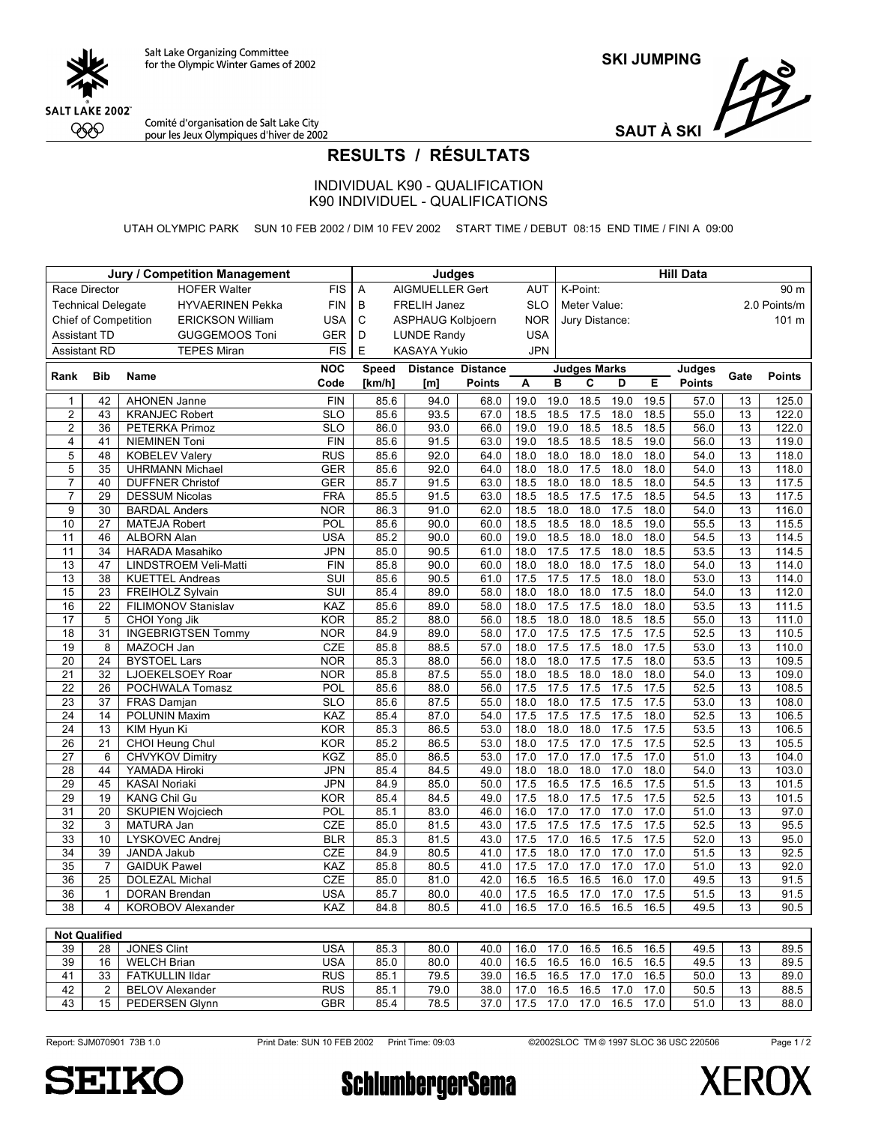

**SKI JUMPING**



Comité d'organisation de Salt Lake City<br>pour les Jeux Olympiques d'hiver de 2002

**SAUT À SKI**

## **RESULTS / RÉSULTATS**

INDIVIDUAL K90 - QUALIFICATION K90 INDIVIDUEL - QUALIFICATIONS

UTAH OLYMPIC PARK SUN 10 FEB 2002 / DIM 10 FEV 2002 START TIME / DEBUT 08:15 END TIME / FINI A 09:00

|                                           |                           | <b>Jury / Competition Management</b>              |                         | <b>Judges</b>           |              |                          |               |              | <b>Hill Data</b> |                     |              |              |               |                       |                |  |
|-------------------------------------------|---------------------------|---------------------------------------------------|-------------------------|-------------------------|--------------|--------------------------|---------------|--------------|------------------|---------------------|--------------|--------------|---------------|-----------------------|----------------|--|
|                                           | Race Director             |                                                   | <b>HOFER Walter</b>     | <b>FIS</b>              | Α            | <b>AIGMUELLER Gert</b>   |               | <b>AUT</b>   |                  | K-Point:            |              |              |               |                       | 90 m           |  |
|                                           | <b>Technical Delegate</b> |                                                   | <b>HYVAERINEN Pekka</b> | <b>FIN</b>              | B            | FRELIH Janez             |               | <b>SLO</b>   |                  | Meter Value:        |              |              |               |                       | 2.0 Points/m   |  |
|                                           | Chief of Competition      |                                                   | <b>ERICKSON William</b> | <b>USA</b>              | C            | <b>ASPHAUG Kolbjoern</b> |               | <b>NOR</b>   |                  | Jury Distance:      |              |              |               |                       | 101 m          |  |
| <b>Assistant TD</b>                       |                           |                                                   | <b>GUGGEMOOS Toni</b>   | <b>GER</b>              | D            | <b>LUNDE Randy</b>       |               | <b>USA</b>   |                  |                     |              |              |               |                       |                |  |
| <b>Assistant RD</b><br><b>TEPES Miran</b> |                           |                                                   |                         | <b>FIS</b>              | E            | KASAYA Yukio             |               | <b>JPN</b>   |                  |                     |              |              |               |                       |                |  |
|                                           |                           |                                                   |                         | <b>NOC</b>              | <b>Speed</b> | <b>Distance Distance</b> |               |              |                  | <b>Judges Marks</b> |              |              | <b>Judges</b> |                       |                |  |
| Rank                                      | <b>Bib</b>                | Name                                              |                         | Code                    | [ $km/h$ ]   | [m]                      | <b>Points</b> | A            | в                | C                   | D            | Е            | <b>Points</b> | Gate                  | Points         |  |
| $\mathbf{1}$                              | 42                        | <b>AHONEN Janne</b>                               |                         | $\overline{FIN}$        | 85.6         | 94.0                     | 68.0          | 19.0         | 19.0             | 18.5                | 19.0         | 19.5         | 57.0          | $\overline{13}$       | 125.0          |  |
| $\overline{2}$                            | 43                        | <b>KRANJEC Robert</b>                             |                         | $\overline{\text{SLO}}$ | 85.6         | 93.5                     | 67.0          | 18.5         | 18.5             | 17.5                | 18.0         | 18.5         | 55.0          | 13                    | 122.0          |  |
| $\overline{2}$                            | $\overline{36}$           | PETERKA Primoz                                    |                         | $\overline{SLO}$        | 86.0         | 93.0                     | 66.0          | 19.0         | 19.0             | 18.5                | 18.5         | 18.5         | 56.0          | 13                    | 122.0          |  |
| $\overline{4}$                            | 41                        | <b>NIEMINEN Toni</b>                              |                         | FIN                     | 85.6         | 91.5                     | 63.0          | 19.0         | 18.5             | 18.5                | 18.5         | 19.0         | 56.0          | $\overline{13}$       | 119.0          |  |
| 5                                         | 48                        | <b>KOBELEV Valery</b>                             |                         | <b>RUS</b>              | 85.6         | 92.0                     | 64.0          | 18.0         | 18.0             | 18.0                | 18.0         | 18.0         | 54.0          | 13                    | 118.0          |  |
| $\overline{5}$                            | 35                        | <b>UHRMANN Michael</b>                            |                         | <b>GER</b>              | 85.6         | 92.0                     | 64.0          | 18.0         | 18.0             | 17.5                | 18.0         | 18.0         | 54.0          | 13                    | 118.0          |  |
| $\overline{7}$                            | 40                        | <b>DUFFNER Christof</b>                           |                         | <b>GER</b>              | 85.7         | 91.5                     | 63.0          | 18.5         | 18.0             | 18.0                | 18.5         | 18.0         | 54.5          | 13                    | 117.5          |  |
| $\overline{7}$                            | $\overline{29}$           | <b>DESSUM Nicolas</b>                             |                         | <b>FRA</b>              | 85.5         | 91.5                     | 63.0          | 18.5         | 18.5             | 17.5                | 17.5         | 18.5         | 54.5          | $\overline{13}$       | 117.5          |  |
| 9                                         | $\overline{30}$           | <b>BARDAL Anders</b>                              |                         | <b>NOR</b>              | 86.3         | 91.0                     | 62.0          | 18.5         | 18.0             | 18.0                | 17.5         | 18.0         | 54.0          | 13                    | 116.0          |  |
| 10                                        | $\overline{27}$           | <b>MATEJA Robert</b>                              |                         | POL<br><b>USA</b>       | 85.6         | 90.0                     | 60.0          | 18.5         | 18.5             | 18.0                | 18.5         | 19.0         | 55.5          | $\overline{13}$       | 115.5          |  |
| 11                                        | 46                        | <b>ALBORN Alan</b>                                |                         |                         | 85.2         | 90.0                     | 60.0          | 19.0         | 18.5             | 18.0                | 18.0         | 18.0         | 54.5          | $\overline{13}$       | 114.5          |  |
| 11                                        | 34<br>47                  | HARADA Masahiko                                   |                         |                         | 85.0         | 90.5                     | 61.0          | 18.0         | 17.5             | 17.5                | 18.0         | 18.5         | 53.5          | 13                    | 114.5          |  |
| 13<br>13                                  | $\overline{38}$           | LINDSTROEM Veli-Matti                             |                         | <b>FIN</b><br>SUI       | 85.8<br>85.6 | 90.0                     | 60.0          | 18.0<br>17.5 | 18.0<br>17.5     | 18.0<br>17.5        | 17.5<br>18.0 | 18.0<br>18.0 | 54.0<br>53.0  | 13<br>13              | 114.0          |  |
| $\overline{15}$                           | $\overline{23}$           | <b>KUETTEL Andreas</b><br><b>FREIHOLZ Sylvain</b> |                         | $\overline{\text{SUI}}$ | 85.4         | 90.5<br>89.0             | 61.0<br>58.0  | 18.0         | 18.0             | 18.0                | 17.5         | 18.0         | 54.0          | $\overline{13}$       | 114.0<br>112.0 |  |
| 16                                        | 22                        | FILIMONOV Stanislav                               |                         | <b>KAZ</b>              | 85.6         | 89.0                     | 58.0          | 18.0         | 17.5             | 17.5                | 18.0         | 18.0         | 53.5          | 13                    | 111.5          |  |
| $\overline{17}$                           | 5                         | CHOI Yong Jik                                     |                         | <b>KOR</b>              | 85.2         | 88.0                     | 56.0          | 18.5         | 18.0             | 18.0                | 18.5         | 18.5         | 55.0          | 13                    | 111.0          |  |
| 18                                        | 31                        | <b>INGEBRIGTSEN Tommy</b>                         |                         | <b>NOR</b>              | 84.9         | 89.0                     | 58.0          | 17.0         | 17.5             | 17.5                | 17.5         | 17.5         | 52.5          | $\overline{13}$       | 110.5          |  |
| 19                                        | 8                         | MAZOCH Jan                                        |                         | <b>CZE</b>              | 85.8         | 88.5                     | 57.0          | 18.0         | 17.5             | 17.5                | 18.0         | 17.5         | 53.0          | $\overline{13}$       | 110.0          |  |
| $\overline{20}$                           | 24                        | <b>BYSTOEL Lars</b>                               |                         | <b>NOR</b>              | 85.3         | 88.0                     | 56.0          | 18.0         | 18.0             | 17.5                | 17.5         | 18.0         | 53.5          | $\overline{13}$       | 109.5          |  |
| $\overline{21}$                           | 32                        | LJOEKELSOEY Roar                                  |                         | <b>NOR</b>              | 85.8         | 87.5                     | 55.0          | 18.0         | 18.5             | 18.0                | 18.0         | 18.0         | 54.0          | 13                    | 109.0          |  |
| $\overline{22}$                           | 26                        | POCHWALA Tomasz                                   |                         | POL                     | 85.6         | 88.0                     | 56.0          | 17.5         | 17.5             | 17.5                | 17.5         | 17.5         | 52.5          | 13                    | 108.5          |  |
| $\overline{23}$                           | $\overline{37}$           | FRAS Damjan                                       |                         | <b>SLO</b>              | 85.6         | 87.5                     | 55.0          | 18.0         | 18.0             | 17.5                | 17.5         | 17.5         | 53.0          | 13                    | 108.0          |  |
| $\overline{24}$                           | 14                        | POLUNIN Maxim                                     |                         | KAZ                     | 85.4         | 87.0                     | 54.0          | 17.5         | 17.5             | 17.5                | 17.5         | 18.0         | 52.5          | 13                    | 106.5          |  |
| $\overline{24}$                           | $\overline{13}$           | KIM Hyun Ki                                       |                         | KOR                     | 85.3         | 86.5                     | 53.0          | 18.0         | 18.0             | 18.0                | 17.5         | 17.5         | 53.5          | 13                    | 106.5          |  |
| 26                                        | 21                        | CHOI Heung Chul                                   |                         | <b>KOR</b>              | 85.2         | 86.5                     | 53.0          | 18.0         | 17.5             | 17.0                | 17.5         | 17.5         | 52.5          | $\overline{13}$       | 105.5          |  |
| $\overline{27}$                           | $\overline{6}$            | <b>CHVYKOV Dimitry</b>                            |                         | <b>KGZ</b>              | 85.0         | 86.5                     | 53.0          | 17.0         | 17.0             | 17.0                | 17.5         | 17.0         | 51.0          | $\overline{13}$       | 104.0          |  |
| 28                                        | 44                        | YAMADA Hiroki                                     |                         | <b>JPN</b>              | 85.4         | 84.5                     | 49.0          | 18.0         | 18.0             | 18.0                | 17.0         | 18.0         | 54.0          | 13                    | 103.0          |  |
| $\overline{29}$                           | 45                        | <b>KASAI Noriaki</b>                              |                         | JPN                     | 84.9         | 85.0                     | 50.0          | 17.5         | 16.5             | 17.5                | 16.5         | 17.5         | 51.5          | 13                    | 101.5          |  |
| $\overline{29}$                           | 19                        | <b>KANG Chil Gu</b>                               |                         | <b>KOR</b>              | 85.4         | 84.5                     | 49.0          | 17.5         | 18.0             | 17.5                | 17.5         | 17.5         | 52.5          | $\overline{13}$       | 101.5          |  |
| 31                                        | 20                        | <b>SKUPIEN Wojciech</b>                           |                         | POL                     | 85.1         | 83.0                     | 46.0          | 16.0         | 17.0             | 17.0                | 17.0         | 17.0         | 51.0          | $\overline{13}$       | 97.0           |  |
| $\overline{32}$                           | 3                         | MATURA Jan                                        |                         | <b>CZE</b>              | 85.0         | 81.5                     | 43.0          | 17.5         | 17.5             | 17.5                | 17.5         | 17.5         | 52.5          | 13                    | 95.5           |  |
| 33<br>$\overline{34}$                     | 10<br>$\overline{39}$     | LYSKOVEC Andrei                                   |                         | <b>BLR</b>              | 85.3         | 81.5                     | 43.0          | 17.5         | 17.0<br>18.0     | 16.5<br>17.0        | 17.5<br>17.0 | 17.5<br>17.0 | 52.0          | 13<br>$\overline{13}$ | 95.0           |  |
| $\overline{35}$                           | $\overline{7}$            | JANDA Jakub<br><b>GAIDUK Pawel</b>                |                         | <b>CZE</b><br>KAZ       | 84.9<br>85.8 | 80.5<br>80.5             | 41.0<br>41.0  | 17.5<br>17.5 | 17.0             | 17.0                | 17.0         | 17.0         | 51.5<br>51.0  | $\overline{13}$       | 92.5<br>92.0   |  |
| 36                                        | 25                        | <b>DOLEZAL Michal</b>                             |                         | <b>CZE</b>              | 85.0         | 81.0                     | 42.0          | 16.5         | 16.5             | $\overline{16.5}$   | 16.0         | 17.0         | 49.5          | 13                    | 91.5           |  |
| 36                                        | $\mathbf{1}$              | <b>DORAN Brendan</b>                              |                         | <b>USA</b>              | 85.7         | 80.0                     | 40.0          | 17.5         | 16.5             | 17.0                | 17.0         | 17.5         | 51.5          | 13                    | 91.5           |  |
| $\overline{38}$                           | $\overline{4}$            | KOROBOV Alexander                                 |                         | <b>KAZ</b>              | 84.8         | 80.5                     | 41.0          | 16.5         | 17.0             | 16.5                | 16.5         | 16.5         | 49.5          | 13                    | 90.5           |  |
|                                           |                           |                                                   |                         |                         |              |                          |               |              |                  |                     |              |              |               |                       |                |  |

|    | <b>Not Qualified</b> |                        |            |      |      |      |      |      |      |      |      |      |    |      |
|----|----------------------|------------------------|------------|------|------|------|------|------|------|------|------|------|----|------|
| 39 | 28                   | <b>JONES Clint</b>     | USA        | 85.3 | 80.0 | 40.0 | 16.0 | 17.0 | 16.5 | 16.5 | 16.5 | 49.5 | 13 | 89.5 |
| 39 | 16                   | <b>WELCH Brian</b>     | USA        | 85.0 | 80.0 | 40.0 | 16.5 | 16.5 | 16.0 | 16.5 | 16.5 | 49.5 | 13 | 89.5 |
| 41 | 33                   | <b>FATKULLIN IIdar</b> | <b>RUS</b> | 85.1 | 79.5 | 39.0 | 16.5 | 16.5 |      | 17.0 | 16.5 | 50.0 | 13 | 89.0 |
| 42 | $\sim$               | <b>BELOV Alexander</b> | <b>RUS</b> | 85.1 | 79.0 | 38.0 |      | 16.5 | 16.5 |      | 17 በ | 50.5 | 13 | 88.5 |
| 43 | 15                   | <b>PEDERSEN Glynn</b>  | <b>GBR</b> | 85.4 | 78.5 | 37.0 |      | 17.0 |      | 16.5 | 17.0 | 51.0 | 13 | 88.0 |

Report: SJM070901 73B 1.0 Print Date: SUN 10 FEB 2002 Print Time: 09:03 ©2002SLOC TM © 1997 SLOC 36 USC 220506

Page 1/2